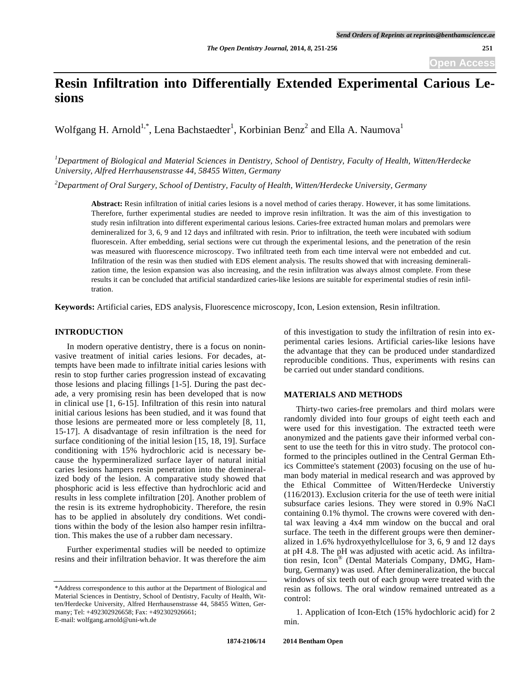# **Resin Infiltration into Differentially Extended Experimental Carious Lesions**

Wolfgang H. Arnold<sup>1,\*</sup>, Lena Bachstaedter<sup>1</sup>, Korbinian Benz<sup>2</sup> and Ella A. Naumova<sup>1</sup>

*1 Department of Biological and Material Sciences in Dentistry, School of Dentistry, Faculty of Health, Witten/Herdecke University, Alfred Herrhausenstrasse 44, 58455 Witten, Germany* 

*2 Department of Oral Surgery, School of Dentistry, Faculty of Health, Witten/Herdecke University, Germany* 

**Abstract:** Resin infiltration of initial caries lesions is a novel method of caries therapy. However, it has some limitations. Therefore, further experimental studies are needed to improve resin infiltration. It was the aim of this investigation to study resin infiltration into different experimental carious lesions. Caries-free extracted human molars and premolars were demineralized for 3, 6, 9 and 12 days and infiltrated with resin. Prior to infiltration, the teeth were incubated with sodium fluorescein. After embedding, serial sections were cut through the experimental lesions, and the penetration of the resin was measured with fluorescence microscopy. Two infiltrated teeth from each time interval were not embedded and cut. Infiltration of the resin was then studied with EDS element analysis. The results showed that with increasing demineralization time, the lesion expansion was also increasing, and the resin infiltration was always almost complete. From these results it can be concluded that artificial standardized caries-like lesions are suitable for experimental studies of resin infiltration.

**Keywords:** Artificial caries, EDS analysis, Fluorescence microscopy, Icon, Lesion extension, Resin infiltration.

# **INTRODUCTION**

In modern operative dentistry, there is a focus on noninvasive treatment of initial caries lesions. For decades, attempts have been made to infiltrate initial caries lesions with resin to stop further caries progression instead of excavating those lesions and placing fillings [1-5]. During the past decade, a very promising resin has been developed that is now in clinical use [1, 6-15]. Infiltration of this resin into natural initial carious lesions has been studied, and it was found that those lesions are permeated more or less completely [8, 11, 15-17]. A disadvantage of resin infiltration is the need for surface conditioning of the initial lesion [15, 18, 19]. Surface conditioning with 15% hydrochloric acid is necessary because the hypermineralized surface layer of natural initial caries lesions hampers resin penetration into the demineralized body of the lesion. A comparative study showed that phosphoric acid is less effective than hydrochloric acid and results in less complete infiltration [20]. Another problem of the resin is its extreme hydrophobicity. Therefore, the resin has to be applied in absolutely dry conditions. Wet conditions within the body of the lesion also hamper resin infiltration. This makes the use of a rubber dam necessary.

Further experimental studies will be needed to optimize resins and their infiltration behavior. It was therefore the aim of this investigation to study the infiltration of resin into experimental caries lesions. Artificial caries-like lesions have the advantage that they can be produced under standardized reproducible conditions. Thus, experiments with resins can be carried out under standard conditions.

## **MATERIALS AND METHODS**

Thirty-two caries-free premolars and third molars were randomly divided into four groups of eight teeth each and were used for this investigation. The extracted teeth were anonymized and the patients gave their informed verbal consent to use the teeth for this in vitro study. The protocol conformed to the principles outlined in the Central German Ethics Committee's statement (2003) focusing on the use of human body material in medical research and was approved by the Ethical Committee of Witten/Herdecke Universtiy (116/2013). Exclusion criteria for the use of teeth were initial subsurface caries lesions. They were stored in 0.9% NaCl containing 0.1% thymol. The crowns were covered with dental wax leaving a 4x4 mm window on the buccal and oral surface. The teeth in the different groups were then demineralized in 1.6% hydroxyethylcellulose for 3, 6, 9 and 12 days at pH 4.8. The pH was adjusted with acetic acid. As infiltration resin, Icon® (Dental Materials Company, DMG, Hamburg, Germany) was used. After demineralization, the buccal windows of six teeth out of each group were treated with the resin as follows. The oral window remained untreated as a control:

1. Application of Icon-Etch (15% hydochloric acid) for 2 min.

<sup>\*</sup>Address correspondence to this author at the Department of Biological and Material Sciences in Dentistry, School of Dentistry, Faculty of Health, Witten/Herdecke University, Alfred Herrhausenstrasse 44, 58455 Witten, Germany; Tel: +492302926658; Fax: +492302926661; E-mail: wolfgang.arnold@uni-wh.de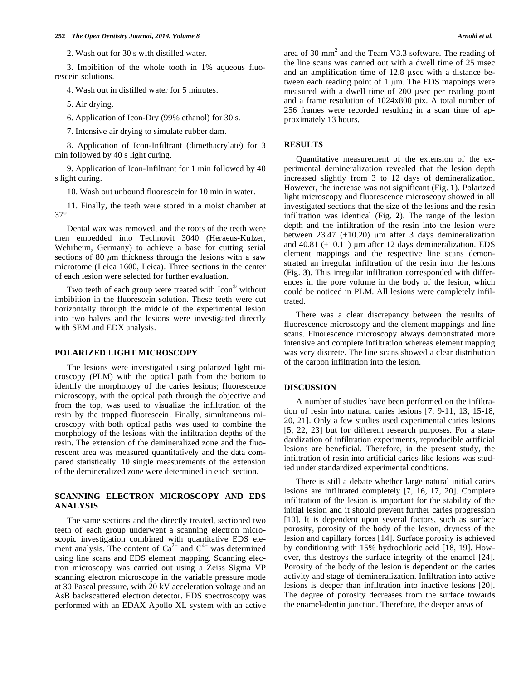2. Wash out for 30 s with distilled water.

3. Imbibition of the whole tooth in 1% aqueous fluorescein solutions.

4. Wash out in distilled water for 5 minutes.

5. Air drying.

6. Application of Icon-Dry (99% ethanol) for 30 s.

7. Intensive air drying to simulate rubber dam.

8. Application of Icon-Infiltrant (dimethacrylate) for 3 min followed by 40 s light curing.

9. Application of Icon-Infiltrant for 1 min followed by 40 s light curing.

10. Wash out unbound fluorescein for 10 min in water.

11. Finally, the teeth were stored in a moist chamber at 37°.

Dental wax was removed, and the roots of the teeth were then embedded into Technovit 3040 (Heraeus-Kulzer, Wehrheim, Germany) to achieve a base for cutting serial sections of 80 *μ*m thickness through the lesions with a saw microtome (Leica 1600, Leica). Three sections in the center of each lesion were selected for further evaluation.

Two teeth of each group were treated with Icon<sup>®</sup> without imbibition in the fluorescein solution. These teeth were cut horizontally through the middle of the experimental lesion into two halves and the lesions were investigated directly with SEM and EDX analysis.

## **POLARIZED LIGHT MICROSCOPY**

The lesions were investigated using polarized light microscopy (PLM) with the optical path from the bottom to identify the morphology of the caries lesions; fluorescence microscopy, with the optical path through the objective and from the top, was used to visualize the infiltration of the resin by the trapped fluorescein. Finally, simultaneous microscopy with both optical paths was used to combine the morphology of the lesions with the infiltration depths of the resin. The extension of the demineralized zone and the fluorescent area was measured quantitatively and the data compared statistically. 10 single measurements of the extension of the demineralized zone were determined in each section.

# **SCANNING ELECTRON MICROSCOPY AND EDS ANALYSIS**

The same sections and the directly treated, sectioned two teeth of each group underwent a scanning electron microscopic investigation combined with quantitative EDS element analysis. The content of  $Ca^{2+}$  and  $C^{4+}$  was determined using line scans and EDS element mapping. Scanning electron microscopy was carried out using a Zeiss Sigma VP scanning electron microscope in the variable pressure mode at 30 Pascal pressure, with 20 kV acceleration voltage and an AsB backscattered electron detector. EDS spectroscopy was performed with an EDAX Apollo XL system with an active

area of 30 mm<sup>2</sup> and the Team V3.3 software. The reading of the line scans was carried out with a dwell time of 25 msec and an amplification time of 12.8 usec with a distance between each reading point of  $1 \mu m$ . The EDS mappings were measured with a dwell time of 200 usec per reading point and a frame resolution of 1024x800 pix. A total number of 256 frames were recorded resulting in a scan time of approximately 13 hours.

## **RESULTS**

Quantitative measurement of the extension of the experimental demineralization revealed that the lesion depth increased slightly from 3 to 12 days of demineralization. However, the increase was not significant (Fig. **1**). Polarized light microscopy and fluorescence microscopy showed in all investigated sections that the size of the lesions and the resin infiltration was identical (Fig. **2**). The range of the lesion depth and the infiltration of the resin into the lesion were between 23.47 ( $\pm$ 10.20) µm after 3 days demineralization and 40.81 ( $\pm$ 10.11) µm after 12 days demineralization. EDS element mappings and the respective line scans demonstrated an irregular infiltration of the resin into the lesions (Fig. **3**). This irregular infiltration corresponded with differences in the pore volume in the body of the lesion, which could be noticed in PLM. All lesions were completely infiltrated.

There was a clear discrepancy between the results of fluorescence microscopy and the element mappings and line scans. Fluorescence microscopy always demonstrated more intensive and complete infiltration whereas element mapping was very discrete. The line scans showed a clear distribution of the carbon infiltration into the lesion.

#### **DISCUSSION**

A number of studies have been performed on the infiltration of resin into natural caries lesions [7, 9-11, 13, 15-18, 20, 21]. Only a few studies used experimental caries lesions [5, 22, 23] but for different research purposes. For a standardization of infiltration experiments, reproducible artificial lesions are beneficial. Therefore, in the present study, the infiltration of resin into artificial caries-like lesions was studied under standardized experimental conditions.

There is still a debate whether large natural initial caries lesions are infiltrated completely [7, 16, 17, 20]. Complete infiltration of the lesion is important for the stability of the initial lesion and it should prevent further caries progression [10]. It is dependent upon several factors, such as surface porosity, porosity of the body of the lesion, dryness of the lesion and capillary forces [14]. Surface porosity is achieved by conditioning with 15% hydrochloric acid [18, 19]. However, this destroys the surface integrity of the enamel [24]. Porosity of the body of the lesion is dependent on the caries activity and stage of demineralization. Infiltration into active lesions is deeper than infiltration into inactive lesions [20]. The degree of porosity decreases from the surface towards the enamel-dentin junction. Therefore, the deeper areas of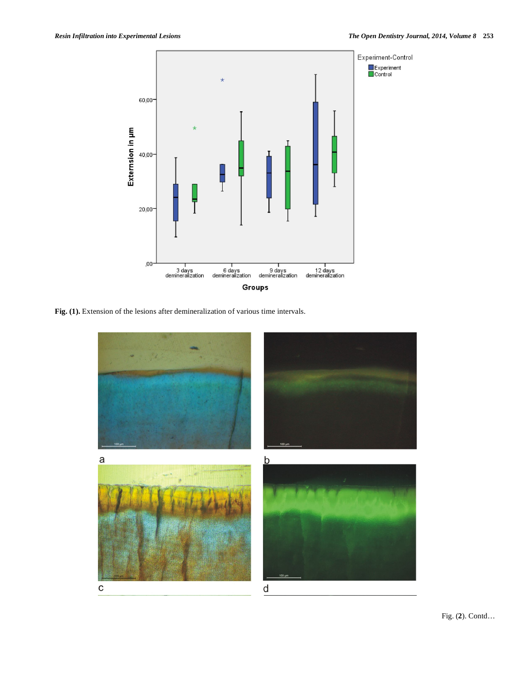

**Fig. (1).** Extension of the lesions after demineralization of various time intervals.

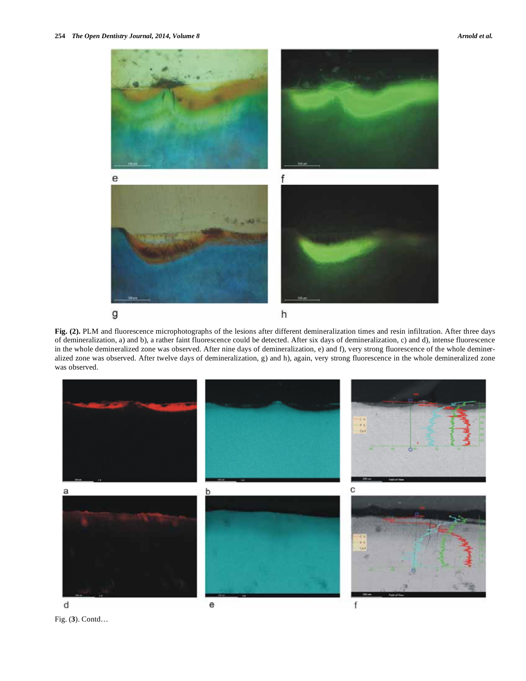

**Fig. (2).** PLM and fluorescence microphotographs of the lesions after different demineralization times and resin infiltration. After three days of demineralization, a) and b), a rather faint fluorescence could be detected. After six days of demineralization, c) and d), intense fluorescence in the whole demineralized zone was observed. After nine days of demineralization, e) and f), very strong fluorescence of the whole demineralized zone was observed. After twelve days of demineralization, g) and h), again, very strong fluorescence in the whole demineralized zone was observed.



Fig. (**3**). Contd…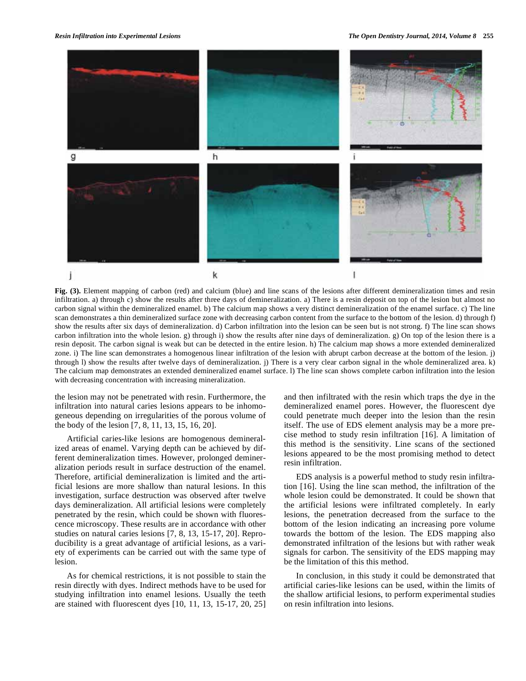

**Fig. (3).** Element mapping of carbon (red) and calcium (blue) and line scans of the lesions after different demineralization times and resin infiltration. a) through c) show the results after three days of demineralization. a) There is a resin deposit on top of the lesion but almost no carbon signal within the demineralized enamel. b) The calcium map shows a very distinct demineralization of the enamel surface. c) The line scan demonstrates a thin demineralized surface zone with decreasing carbon content from the surface to the bottom of the lesion. d) through f) show the results after six days of demineralization. d) Carbon infiltration into the lesion can be seen but is not strong. f) The line scan shows carbon infiltration into the whole lesion. g) through i) show the results after nine days of demineralization. g) On top of the lesion there is a resin deposit. The carbon signal is weak but can be detected in the entire lesion. h) The calcium map shows a more extended demineralized zone. i) The line scan demonstrates a homogenous linear infiltration of the lesion with abrupt carbon decrease at the bottom of the lesion. j) through l) show the results after twelve days of demineralization. j) There is a very clear carbon signal in the whole demineralized area. k) The calcium map demonstrates an extended demineralized enamel surface. l) The line scan shows complete carbon infiltration into the lesion with decreasing concentration with increasing mineralization.

the lesion may not be penetrated with resin. Furthermore, the infiltration into natural caries lesions appears to be inhomogeneous depending on irregularities of the porous volume of the body of the lesion [7, 8, 11, 13, 15, 16, 20].

Artificial caries-like lesions are homogenous demineralized areas of enamel. Varying depth can be achieved by different demineralization times. However, prolonged demineralization periods result in surface destruction of the enamel. Therefore, artificial demineralization is limited and the artificial lesions are more shallow than natural lesions. In this investigation, surface destruction was observed after twelve days demineralization. All artificial lesions were completely penetrated by the resin, which could be shown with fluorescence microscopy. These results are in accordance with other studies on natural caries lesions [7, 8, 13, 15-17, 20]. Reproducibility is a great advantage of artificial lesions, as a variety of experiments can be carried out with the same type of lesion.

As for chemical restrictions, it is not possible to stain the resin directly with dyes. Indirect methods have to be used for studying infiltration into enamel lesions. Usually the teeth are stained with fluorescent dyes [10, 11, 13, 15-17, 20, 25]

and then infiltrated with the resin which traps the dye in the demineralized enamel pores. However, the fluorescent dye could penetrate much deeper into the lesion than the resin itself. The use of EDS element analysis may be a more precise method to study resin infiltration [16]. A limitation of this method is the sensitivity. Line scans of the sectioned lesions appeared to be the most promising method to detect resin infiltration.

EDS analysis is a powerful method to study resin infiltration [16]. Using the line scan method, the infiltration of the whole lesion could be demonstrated. It could be shown that the artificial lesions were infiltrated completely. In early lesions, the penetration decreased from the surface to the bottom of the lesion indicating an increasing pore volume towards the bottom of the lesion. The EDS mapping also demonstrated infiltration of the lesions but with rather weak signals for carbon. The sensitivity of the EDS mapping may be the limitation of this this method.

In conclusion, in this study it could be demonstrated that artificial caries-like lesions can be used, within the limits of the shallow artificial lesions, to perform experimental studies on resin infiltration into lesions.